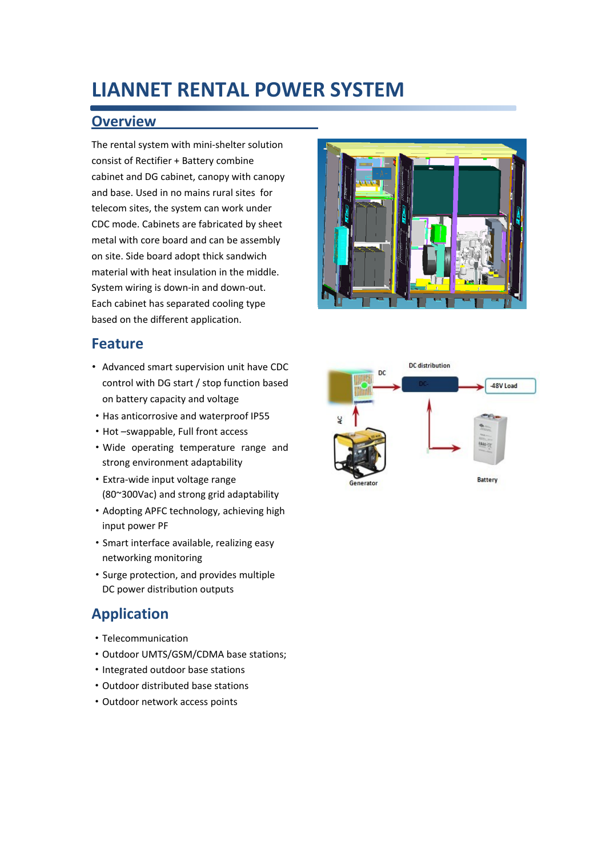## **LIANNET RENTAL POWER SYSTEM**

#### **Overview**

The rental system with mini-shelter solution consist of Rectifier + Battery combine cabinet and DG cabinet, canopy with canopy and base. Used in no mains rural sites for telecom sites, the system can work under CDC mode. Cabinets are fabricated by sheet metal with core board and can be assembly on site. Side board adopt thick sandwich material with heat insulation in the middle. System wiring is down-in and down-out. Each cabinet has separated cooling type based on the different application.

#### **Feature**

- Advanced smart supervision unit have CDC control with DG start / stop function based on battery capacity and voltage
- ·Has anticorrosive and waterproof IP55
- ·Hot –swappable, Full front access
- ·Wide operating temperature range and strong environment adaptability
- ·Extra-wide input voltage range (80~300Vac) and strong grid adaptability
- ·Adopting APFC technology, achieving high input power PF
- ·Smart interface available, realizing easy networking monitoring
- ·Surge protection, and provides multiple DC power distribution outputs

### **Application**

- ·Telecommunication
- ·Outdoor UMTS/GSM/CDMA base stations;
- ·Integrated outdoor base stations
- ·Outdoor distributed base stations
- ·Outdoor network access points



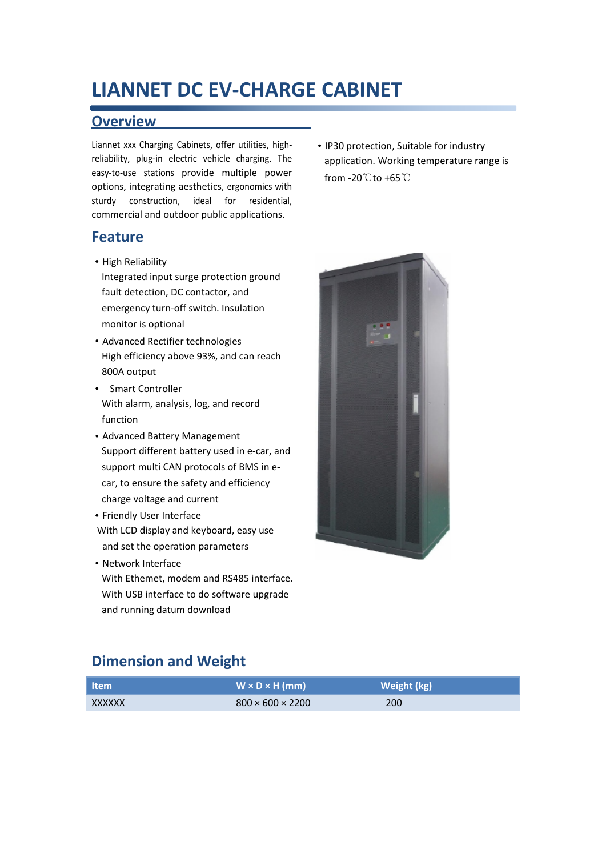## **LIANNET DC EV-CHARGE CABINET**

#### **Overview**

Liannet xxx Charging Cabinets, offer utilities, highreliability, plug-in electric vehicle charging. The easy-to-use stations provide multiple power options, integrating aesthetics, ergonomics with sturdy construction, ideal for residential, commercial and outdoor public applications.

#### **Feature**

**·**High Reliability

Integrated input surge protection ground fault detection, DC contactor, and emergency turn-off switch. Insulation monitor is optional

- **·**Advanced Rectifier technologies High efficiency above 93%, and can reach 800A output
- **·** Smart Controller With alarm, analysis, log, and record function
- **·**Advanced Battery Management Support different battery used in e-car, and support multi CAN protocols of BMS in ecar, to ensure the safety and efficiency charge voltage and current
- **·**Friendly User Interface
- With LCD display and keyboard, easy use and set the operation parameters
- **·**Network Interface With Ethemet, modem and RS485 interface. With USB interface to do software upgrade and running datum download

**·**IP30 protection, Suitable for industry application. Working temperature range is from -20℃to +65℃



### **Dimension and Weight**

| ltem i | $W \times D \times H$ (mm)   | Weight (kg) <sup> </sup> |
|--------|------------------------------|--------------------------|
| XXXXXX | $800 \times 600 \times 2200$ | 200                      |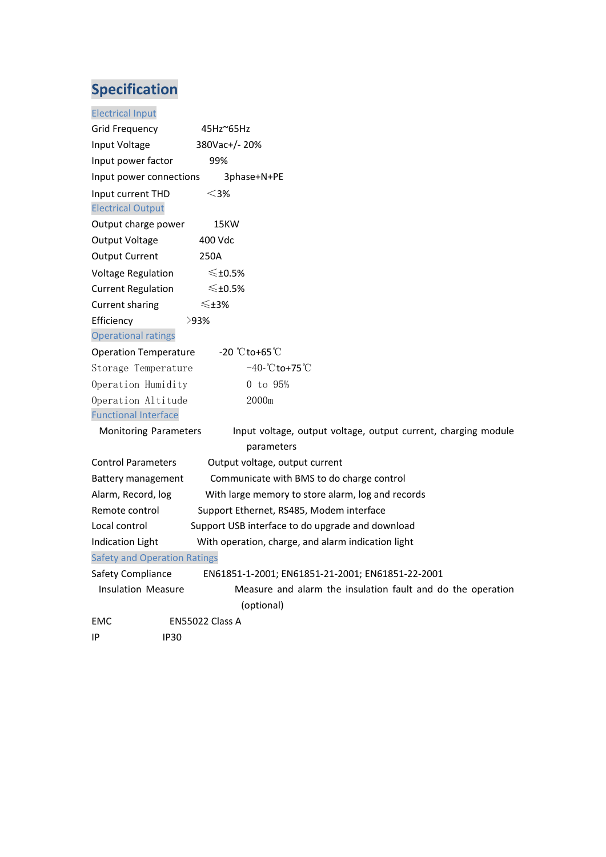| <b>Electrical Input</b>             |                                                                |
|-------------------------------------|----------------------------------------------------------------|
| Grid Frequency                      | $45$ Hz $^{\circ}65$ Hz                                        |
| Input Voltage                       | 380Vac+/-20%                                                   |
| Input power factor                  | 99%                                                            |
| Input power connections             | 3phase+N+PE                                                    |
| Input current THD                   | $<$ 3%                                                         |
| <b>Electrical Output</b>            |                                                                |
| Output charge power                 | 15KW                                                           |
| Output Voltage                      | 400 Vdc                                                        |
| <b>Output Current</b>               | 250A                                                           |
| <b>Voltage Regulation</b>           | ≤±0.5%                                                         |
| <b>Current Regulation</b>           | ≤±0.5%                                                         |
| <b>Current sharing</b>              | ≤±3%                                                           |
| Efficiency                          | >93%                                                           |
| <b>Operational ratings</b>          |                                                                |
| <b>Operation Temperature</b>        | -20 $^{\circ}$ Cto+65 $^{\circ}$ C                             |
| Storage Temperature                 | $-40 - \text{°C}$ to +75 $\text{°C}$                           |
| Operation Humidity                  | 0 to 95%                                                       |
| Operation Altitude                  | 2000m                                                          |
| <b>Functional Interface</b>         |                                                                |
| <b>Monitoring Parameters</b>        | Input voltage, output voltage, output current, charging module |
|                                     | parameters                                                     |
| <b>Control Parameters</b>           | Output voltage, output current                                 |
| Battery management                  | Communicate with BMS to do charge control                      |
| Alarm, Record, log                  | With large memory to store alarm, log and records              |
| Remote control                      | Support Ethernet, RS485, Modem interface                       |
| Local control                       | Support USB interface to do upgrade and download               |
| <b>Indication Light</b>             | With operation, charge, and alarm indication light             |
| <b>Safety and Operation Ratings</b> |                                                                |
| Safety Compliance                   | EN61851-1-2001; EN61851-21-2001; EN61851-22-2001               |
| <b>Insulation Measure</b>           | Measure and alarm the insulation fault and do the operation    |
|                                     | (optional)                                                     |
| EMC                                 | EN55022 Class A                                                |
| IP<br><b>IP30</b>                   |                                                                |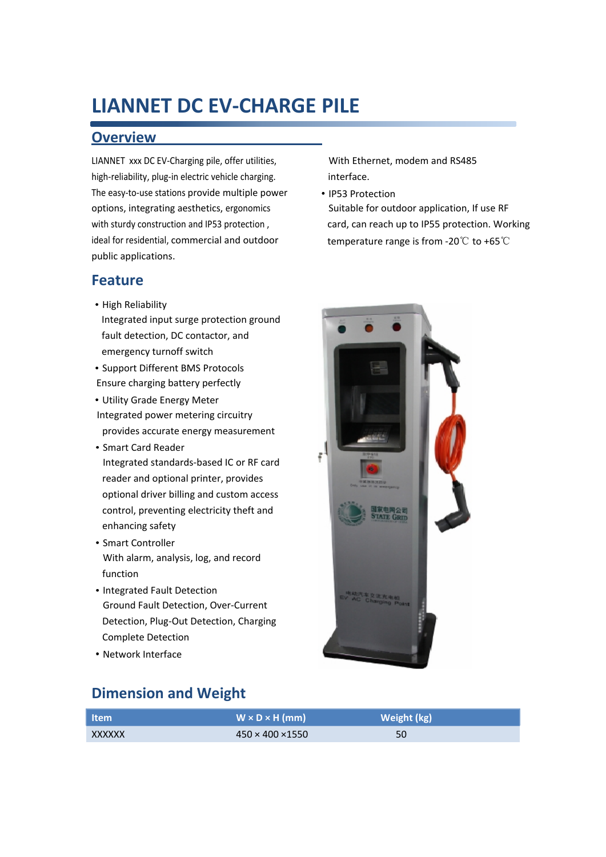## **LIANNET DC EV-CHARGE PILE**

#### **Overview**

LIANNET xxx DC EV-Charging pile, offer utilities, high-reliability, plug-in electric vehicle charging. The easy-to-use stations provide multiple power options, integrating aesthetics, ergonomics with sturdy construction and IP53 protection , ideal for residential, commercial and outdoor public applications.

**Feature**

- **·**High Reliability
- Integrated input surge protection ground fault detection, DC contactor, and emergency turnoff switch
- **·**Support Different BMS Protocols Ensure charging battery perfectly
- **·**Utility Grade Energy Meter Integrated power metering circuitry provides accurate energy measurement
- **·**Smart Card Reader Integrated standards-based IC or RF card reader and optional printer, provides optional driver billing and custom access control, preventing electricity theft and enhancing safety
- **·**Smart Controller With alarm, analysis, log, and record function
- **·**Integrated Fault Detection Ground Fault Detection, Over-Current Detection, Plug-Out Detection, Charging Complete Detection
- **·**Network Interface



**·**IP53 Protection Suitable for outdoor application, If use RF card, can reach up to IP55 protection. Working temperature range is from -20℃ to +65℃



### **Dimension and Weight**

| ltem i | $W \times D \times H$ (mm)   | Weight (kg) |
|--------|------------------------------|-------------|
| XXXXXX | $450 \times 400 \times 1550$ | 50          |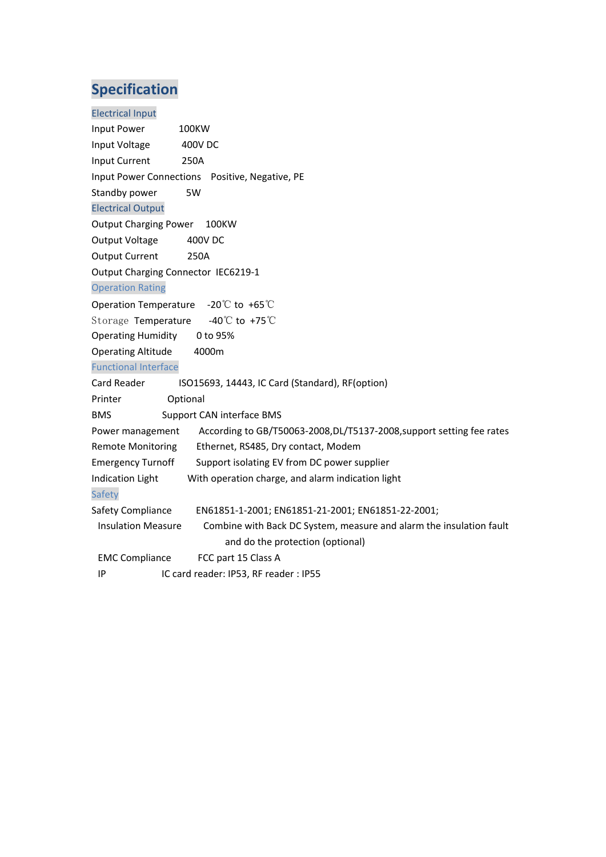| <b>Electrical Input</b>                                                                          |
|--------------------------------------------------------------------------------------------------|
| Input Power<br>100KW                                                                             |
| <b>400V DC</b><br>Input Voltage                                                                  |
| <b>Input Current</b><br>250A                                                                     |
| Input Power Connections Positive, Negative, PE                                                   |
| Standby power<br>5W                                                                              |
| <b>Electrical Output</b>                                                                         |
| <b>Output Charging Power</b><br>100KW                                                            |
| Output Voltage<br>400V DC                                                                        |
| <b>Output Current</b><br>250A                                                                    |
| Output Charging Connector IEC6219-1                                                              |
| <b>Operation Rating</b>                                                                          |
| Operation Temperature $-20^{\circ}$ C to +65 $^{\circ}$ C                                        |
| Storage Temperature -40°C to +75°C                                                               |
| <b>Operating Humidity</b><br>0 to 95%                                                            |
| <b>Operating Altitude</b><br>4000m                                                               |
| <b>Functional Interface</b>                                                                      |
| Card Reader<br>ISO15693, 14443, IC Card (Standard), RF(option)                                   |
| Optional<br>Printer                                                                              |
| <b>BMS</b><br>Support CAN interface BMS                                                          |
| According to GB/T50063-2008, DL/T5137-2008, support setting fee rates<br>Power management        |
| <b>Remote Monitoring</b><br>Ethernet, RS485, Dry contact, Modem                                  |
| <b>Emergency Turnoff</b><br>Support isolating EV from DC power supplier                          |
| With operation charge, and alarm indication light<br><b>Indication Light</b>                     |
| Safety                                                                                           |
| Safety Compliance<br>EN61851-1-2001; EN61851-21-2001; EN61851-22-2001;                           |
| Combine with Back DC System, measure and alarm the insulation fault<br><b>Insulation Measure</b> |
| and do the protection (optional)                                                                 |
| <b>EMC Compliance</b><br>FCC part 15 Class A                                                     |
| IC card reader: IP53, RF reader: IP55<br>ΙP                                                      |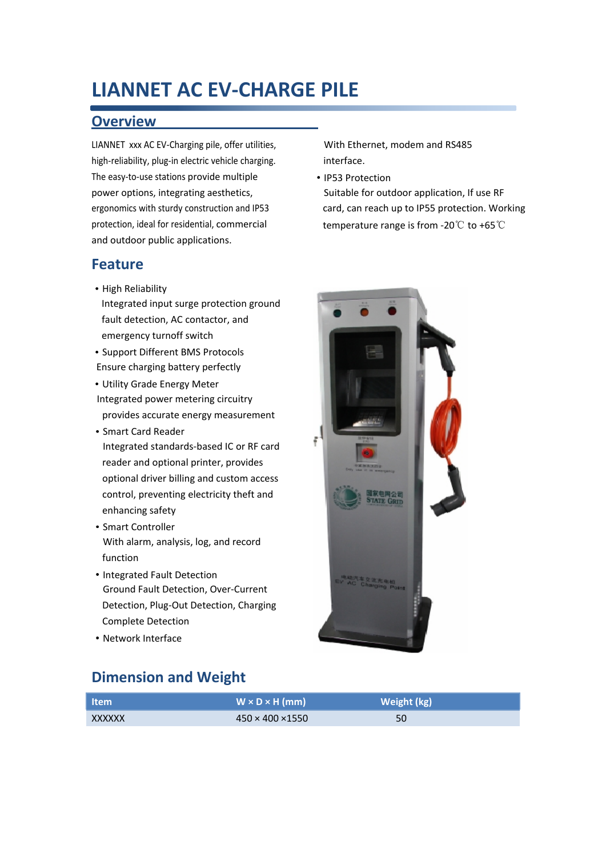## **LIANNET AC EV-CHARGE PILE**

#### **Overview**

LIANNET xxx AC EV-Charging pile, offer utilities, high-reliability, plug-in electric vehicle charging. The easy-to-use stations provide multiple power options, integrating aesthetics, ergonomics with sturdy construction and IP53 protection, ideal for residential, commercial and outdoor public applications.

#### **Feature**

- **·**High Reliability Integrated input surge protection ground fault detection, AC contactor, and emergency turnoff switch
- **·**Support Different BMS Protocols Ensure charging battery perfectly
- **·**Utility Grade Energy Meter Integrated power metering circuitry provides accurate energy measurement
- **·**Smart Card Reader Integrated standards-based IC or RF card reader and optional printer, provides optional driver billing and custom access control, preventing electricity theft and enhancing safety
- **·**Smart Controller With alarm, analysis, log, and record function
- **·**Integrated Fault Detection Ground Fault Detection, Over-Current Detection, Plug-Out Detection, Charging Complete Detection
- **·**Network Interface

### **Dimension and Weight**

**Item W × D × H (mm) Weight (kg)**  $\overline{X}$ XXXXXX 450 × 450 × 400 × 1550 50

With Ethernet, modem and RS485 interface.

**·**IP53 Protection Suitable for outdoor application, If use RF card, can reach up to IP55 protection. Working temperature range is from -20℃ to +65℃

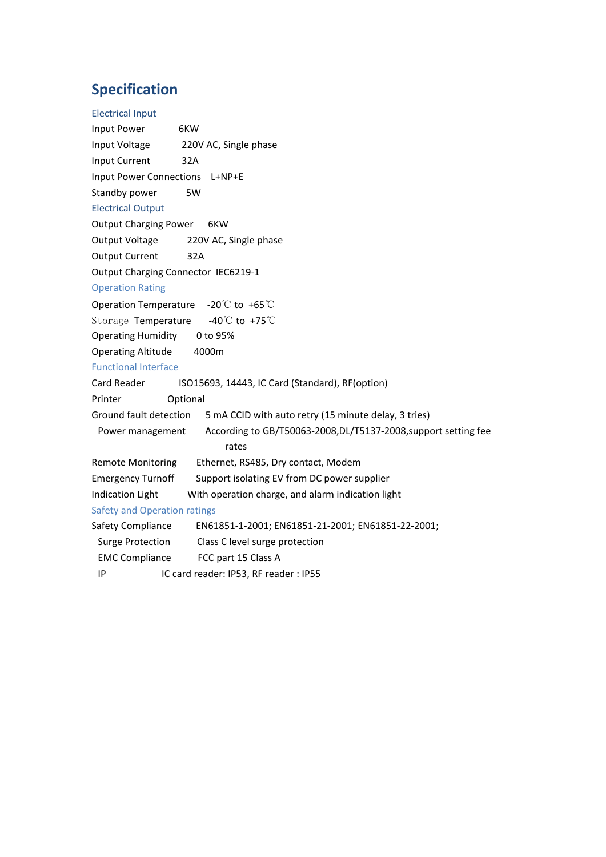| <b>Electrical Input</b>                                                             |
|-------------------------------------------------------------------------------------|
| Input Power<br>6KW                                                                  |
| Input Voltage<br>220V AC, Single phase                                              |
| Input Current<br>32A                                                                |
| Input Power Connections<br>L+NP+E                                                   |
| Standby power<br>5W                                                                 |
| <b>Electrical Output</b>                                                            |
| <b>Output Charging Power</b><br>6KW                                                 |
| Output Voltage<br>220V AC, Single phase                                             |
| <b>Output Current</b><br>32A                                                        |
| Output Charging Connector IEC6219-1                                                 |
| <b>Operation Rating</b>                                                             |
| Operation Temperature -20℃ to +65℃                                                  |
| -40°C to +75°C<br>Storage Temperature                                               |
| 0 to 95%<br><b>Operating Humidity</b>                                               |
| <b>Operating Altitude</b><br>4000m                                                  |
| <b>Functional Interface</b>                                                         |
| Card Reader<br>ISO15693, 14443, IC Card (Standard), RF(option)                      |
| Printer<br>Optional                                                                 |
| Ground fault detection<br>5 mA CCID with auto retry (15 minute delay, 3 tries)      |
| According to GB/T50063-2008, DL/T5137-2008, support setting fee<br>Power management |
| rates                                                                               |
| <b>Remote Monitoring</b><br>Ethernet, RS485, Dry contact, Modem                     |
| Support isolating EV from DC power supplier<br><b>Emergency Turnoff</b>             |
| <b>Indication Light</b><br>With operation charge, and alarm indication light        |
| <b>Safety and Operation ratings</b>                                                 |
| Safety Compliance<br>EN61851-1-2001; EN61851-21-2001; EN61851-22-2001;              |
| <b>Surge Protection</b><br>Class C level surge protection                           |
| <b>EMC Compliance</b><br>FCC part 15 Class A                                        |
| IC card reader: IP53, RF reader: IP55<br>IP                                         |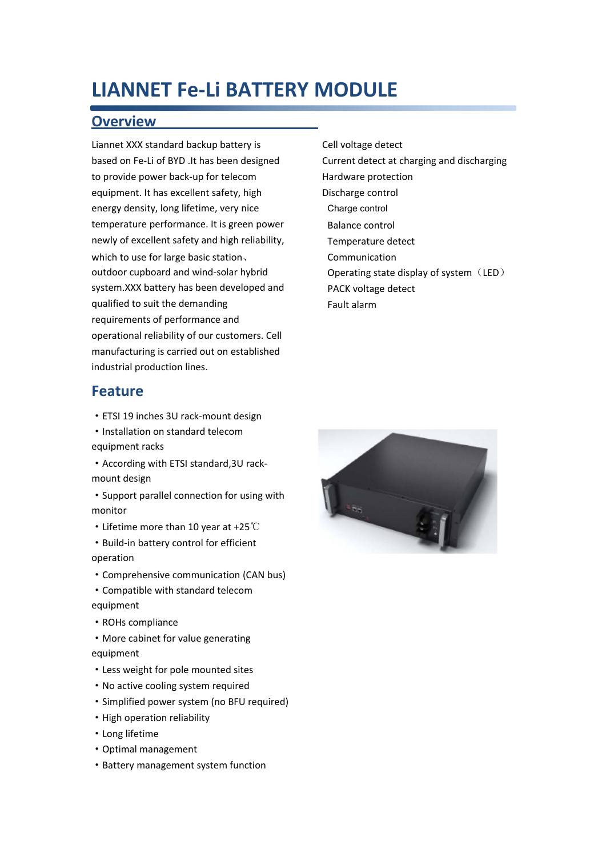### **LIANNET Fe-Li BATTERY MODULE**

#### **Overview**

Liannet XXX standard backup battery is based on Fe-Li of BYD .It has been designed to provide power back-up for telecom equipment. It has excellent safety, high energy density, long lifetime, very nice temperature performance. It is green power newly of excellent safety and high reliability, which to use for large basic station、 outdoor cupboard and wind-solar hybrid system.XXX battery has been developed and qualified to suit the demanding requirements of performance and operational reliability of our customers. Cell manufacturing is carried out on established industrial production lines.

#### **Feature**

- ·ETSI 19 inches 3U rack-mount design
- ·Installation on standard telecom equipment racks
- ·According with ETSI standard,3U rackmount design
- ·Support parallel connection for using with monitor
- ·Lifetime more than 10 year at +25℃
- ·Build-in battery control for efficient operation
- ·Comprehensive communication (CAN bus)
- ·Compatible with standard telecom equipment
- ·ROHs compliance
- ·More cabinet for value generating equipment
- ·Less weight for pole mounted sites
- ·No active cooling system required
- ·Simplified power system (no BFU required)
- ·High operation reliability
- ·Long lifetime
- ·Optimal management
- ·Battery management system function

 Cell voltage detect Current detect at charging and discharging Hardware protection Discharge control Charge control Balance control Temperature detect Communication Operating state display of system (LED) PACK voltage detect Fault alarm

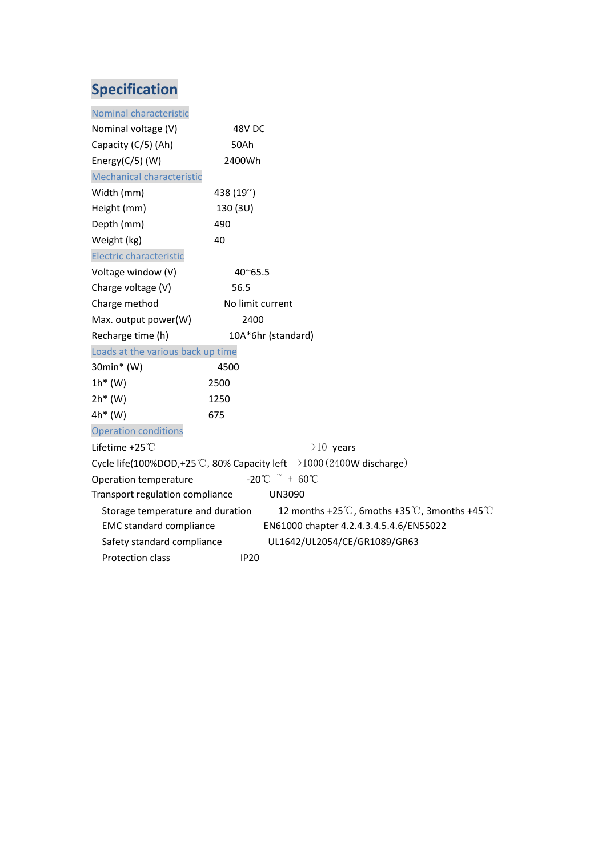| Nominal characteristic            |                  |                                                                     |
|-----------------------------------|------------------|---------------------------------------------------------------------|
| Nominal voltage (V)               | 48V DC           |                                                                     |
| Capacity (C/5) (Ah)               | 50Ah             |                                                                     |
| Energy( $C/5$ ) (W)               | 2400Wh           |                                                                     |
| Mechanical characteristic         |                  |                                                                     |
| Width (mm)                        | 438 (19")        |                                                                     |
| Height (mm)                       | 130 (3U)         |                                                                     |
| Depth (mm)                        | 490              |                                                                     |
| Weight (kg)                       | 40               |                                                                     |
| <b>Electric characteristic</b>    |                  |                                                                     |
| Voltage window (V)                | $40^{\circ}65.5$ |                                                                     |
| Charge voltage (V)                | 56.5             |                                                                     |
| Charge method                     | No limit current |                                                                     |
| Max. output power(W)              | 2400             |                                                                     |
| Recharge time (h)                 |                  | 10A*6hr (standard)                                                  |
| Loads at the various back up time |                  |                                                                     |
| 30min* (W)                        | 4500             |                                                                     |
| $1h^*(W)$                         | 2500             |                                                                     |
| $2h*$ (W)                         | 1250             |                                                                     |
| 4h* (W)                           | 675              |                                                                     |
| <b>Operation conditions</b>       |                  |                                                                     |
| Lifetime +25 °C                   |                  | $>10$ years                                                         |
|                                   |                  | Cycle life(100%DOD,+25°C, 80% Capacity left >1000 (2400W discharge) |
| Operation temperature             |                  | $-20^{\circ}$ C $+60^{\circ}$ C                                     |
| Transport regulation compliance   |                  | <b>UN3090</b>                                                       |
| Storage temperature and duration  |                  | 12 months +25°C, 6moths +35°C, 3months +45°C                        |
| <b>EMC standard compliance</b>    |                  | EN61000 chapter 4.2.4.3.4.5.4.6/EN55022                             |
| Safety standard compliance        |                  | UL1642/UL2054/CE/GR1089/GR63                                        |
| Protection class                  | <b>IP20</b>      |                                                                     |